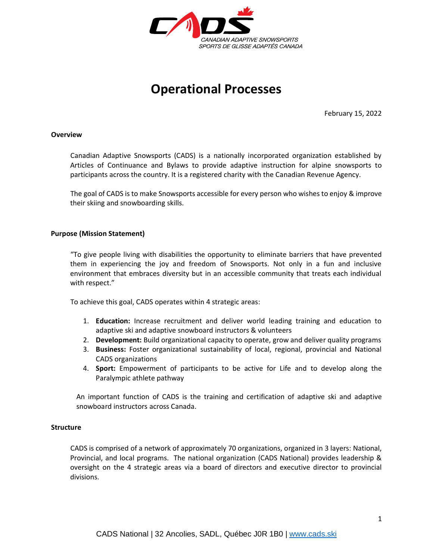

# **Operational Processes**

February 15, 2022

#### **Overview**

Canadian Adaptive Snowsports (CADS) is a nationally incorporated organization established by Articles of Continuance and Bylaws to provide adaptive instruction for alpine snowsports to participants across the country. It is a registered charity with the Canadian Revenue Agency.

The goal of CADS is to make Snowsports accessible for every person who wishes to enjoy & improve their skiing and snowboarding skills.

#### **Purpose (Mission Statement)**

"To give people living with disabilities the opportunity to eliminate barriers that have prevented them in experiencing the joy and freedom of Snowsports. Not only in a fun and inclusive environment that embraces diversity but in an accessible community that treats each individual with respect."

To achieve this goal, CADS operates within 4 strategic areas:

- 1. **Education:** Increase recruitment and deliver world leading training and education to adaptive ski and adaptive snowboard instructors & volunteers
- 2. **Development:** Build organizational capacity to operate, grow and deliver quality programs
- 3. **Business:** Foster organizational sustainability of local, regional, provincial and National CADS organizations
- 4. **Sport:** Empowerment of participants to be active for Life and to develop along the Paralympic athlete pathway

An important function of CADS is the training and certification of adaptive ski and adaptive snowboard instructors across Canada.

#### **Structure**

CADS is comprised of a network of approximately 70 organizations, organized in 3 layers: National, Provincial, and local programs. The national organization (CADS National) provides leadership & oversight on the 4 strategic areas via a board of directors and executive director to provincial divisions.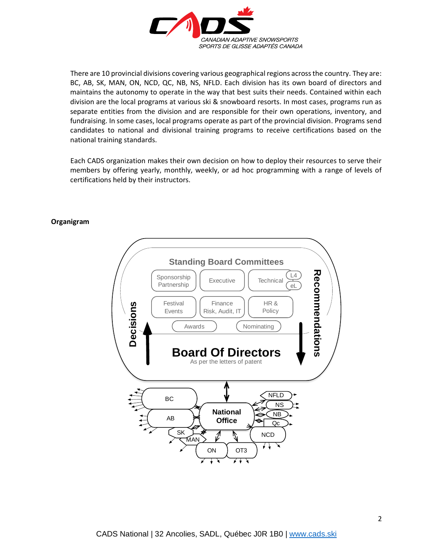

There are 10 provincial divisions covering various geographical regions across the country. They are: BC, AB, SK, MAN, ON, NCD, QC, NB, NS, NFLD. Each division has its own board of directors and maintains the autonomy to operate in the way that best suits their needs. Contained within each division are the local programs at various ski & snowboard resorts. In most cases, programs run as separate entities from the division and are responsible for their own operations, inventory, and fundraising. In some cases, local programs operate as part of the provincial division. Programs send candidates to national and divisional training programs to receive certifications based on the national training standards.

Each CADS organization makes their own decision on how to deploy their resources to serve their members by offering yearly, monthly, weekly, or ad hoc programming with a range of levels of certifications held by their instructors.

#### **Organigram**

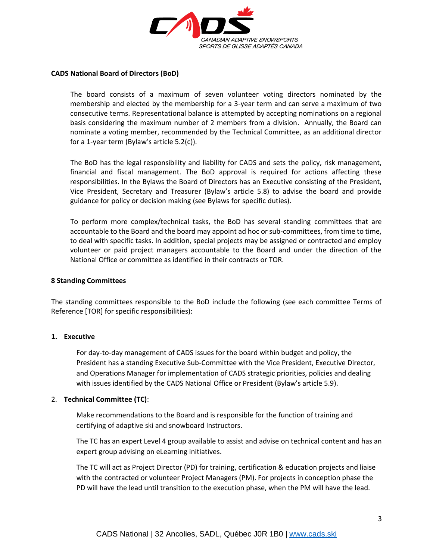

### **CADS National Board of Directors (BoD)**

The board consists of a maximum of seven volunteer voting directors nominated by the membership and elected by the membership for a 3-year term and can serve a maximum of two consecutive terms. Representational balance is attempted by accepting nominations on a regional basis considering the maximum number of 2 members from a division. Annually, the Board can nominate a voting member, recommended by the Technical Committee, as an additional director for a 1-year term (Bylaw's article 5.2(c)).

The BoD has the legal responsibility and liability for CADS and sets the policy, risk management, financial and fiscal management. The BoD approval is required for actions affecting these responsibilities. In the Bylaws the Board of Directors has an Executive consisting of the President, Vice President, Secretary and Treasurer (Bylaw's article 5.8) to advise the board and provide guidance for policy or decision making (see Bylaws for specific duties).

To perform more complex/technical tasks, the BoD has several standing committees that are accountable to the Board and the board may appoint ad hoc or sub-committees, from time to time, to deal with specific tasks. In addition, special projects may be assigned or contracted and employ volunteer or paid project managers accountable to the Board and under the direction of the National Office or committee as identified in their contracts or TOR.

### **8 Standing Committees**

The standing committees responsible to the BoD include the following (see each committee Terms of Reference [TOR] for specific responsibilities):

#### **1. Executive**

For day-to-day management of CADS issues for the board within budget and policy, the President has a standing Executive Sub-Committee with the Vice President, Executive Director, and Operations Manager for implementation of CADS strategic priorities, policies and dealing with issues identified by the CADS National Office or President (Bylaw's article 5.9).

#### 2. **Technical Committee (TC)**:

Make recommendations to the Board and is responsible for the function of training and certifying of adaptive ski and snowboard Instructors.

The TC has an expert Level 4 group available to assist and advise on technical content and has an expert group advising on eLearning initiatives.

The TC will act as Project Director (PD) for training, certification & education projects and liaise with the contracted or volunteer Project Managers (PM). For projects in conception phase the PD will have the lead until transition to the execution phase, when the PM will have the lead.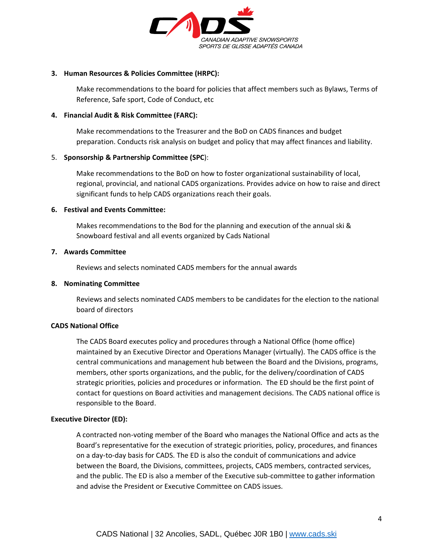

### **3. Human Resources & Policies Committee (HRPC):**

Make recommendations to the board for policies that affect members such as Bylaws, Terms of Reference, Safe sport, Code of Conduct, etc

## **4. Financial Audit & Risk Committee (FARC):**

Make recommendations to the Treasurer and the BoD on CADS finances and budget preparation. Conducts risk analysis on budget and policy that may affect finances and liability.

## 5. **Sponsorship & Partnership Committee (SPC**):

Make recommendations to the BoD on how to foster organizational sustainability of local, regional, provincial, and national CADS organizations. Provides advice on how to raise and direct significant funds to help CADS organizations reach their goals.

## **6. Festival and Events Committee:**

Makes recommendations to the Bod for the planning and execution of the annual ski & Snowboard festival and all events organized by Cads National

## **7. Awards Committee**

Reviews and selects nominated CADS members for the annual awards

# **8. Nominating Committee**

Reviews and selects nominated CADS members to be candidates for the election to the national board of directors

# **CADS National Office**

The CADS Board executes policy and procedures through a National Office (home office) maintained by an Executive Director and Operations Manager (virtually). The CADS office is the central communications and management hub between the Board and the Divisions, programs, members, other sports organizations, and the public, for the delivery/coordination of CADS strategic priorities, policies and procedures or information. The ED should be the first point of contact for questions on Board activities and management decisions. The CADS national office is responsible to the Board.

#### **Executive Director (ED):**

A contracted non-voting member of the Board who manages the National Office and acts as the Board's representative for the execution of strategic priorities, policy, procedures, and finances on a day-to-day basis for CADS. The ED is also the conduit of communications and advice between the Board, the Divisions, committees, projects, CADS members, contracted services, and the public. The ED is also a member of the Executive sub-committee to gather information and advise the President or Executive Committee on CADS issues.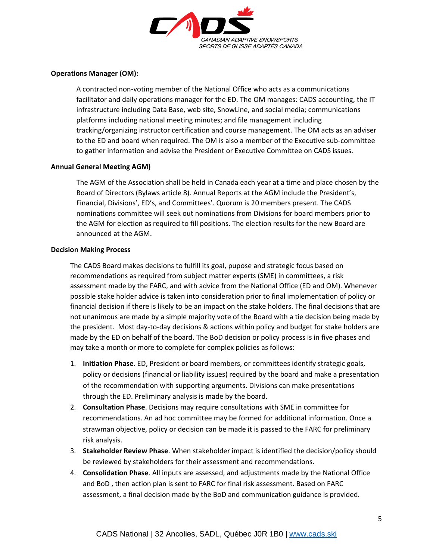

# **Operations Manager (OM):**

A contracted non-voting member of the National Office who acts as a communications facilitator and daily operations manager for the ED. The OM manages: CADS accounting, the IT infrastructure including Data Base, web site, SnowLine, and social media; communications platforms including national meeting minutes; and file management including tracking/organizing instructor certification and course management. The OM acts as an adviser to the ED and board when required. The OM is also a member of the Executive sub-committee to gather information and advise the President or Executive Committee on CADS issues.

## **Annual General Meeting AGM)**

The AGM of the Association shall be held in Canada each year at a time and place chosen by the Board of Directors (Bylaws article 8). Annual Reports at the AGM include the President's, Financial, Divisions', ED's, and Committees'. Quorum is 20 members present. The CADS nominations committee will seek out nominations from Divisions for board members prior to the AGM for election as required to fill positions. The election results for the new Board are announced at the AGM.

#### **Decision Making Process**

The CADS Board makes decisions to fulfill its goal, pupose and strategic focus based on recommendations as required from subject matter experts (SME) in committees, a risk assessment made by the FARC, and with advice from the National Office (ED and OM). Whenever possible stake holder advice is taken into consideration prior to final implementation of policy or financial decision if there is likely to be an impact on the stake holders. The final decisions that are not unanimous are made by a simple majority vote of the Board with a tie decision being made by the president. Most day-to-day decisions & actions within policy and budget for stake holders are made by the ED on behalf of the board. The BoD decision or policy process is in five phases and may take a month or more to complete for complex policies as follows:

- 1. **Initiation Phase**. ED, President or board members, or committees identify strategic goals, policy or decisions (financial or liability issues) required by the board and make a presentation of the recommendation with supporting arguments. Divisions can make presentations through the ED. Preliminary analysis is made by the board.
- 2. **Consultation Phase**. Decisions may require consultations with SME in committee for recommendations. An ad hoc committee may be formed for additional information. Once a strawman objective, policy or decision can be made it is passed to the FARC for preliminary risk analysis.
- 3. **Stakeholder Review Phase**. When stakeholder impact is identified the decision/policy should be reviewed by stakeholders for their assessment and recommendations.
- 4. **Consolidation Phase**. All inputs are assessed, and adjustments made by the National Office and BoD , then action plan is sent to FARC for final risk assessment. Based on FARC assessment, a final decision made by the BoD and communication guidance is provided.